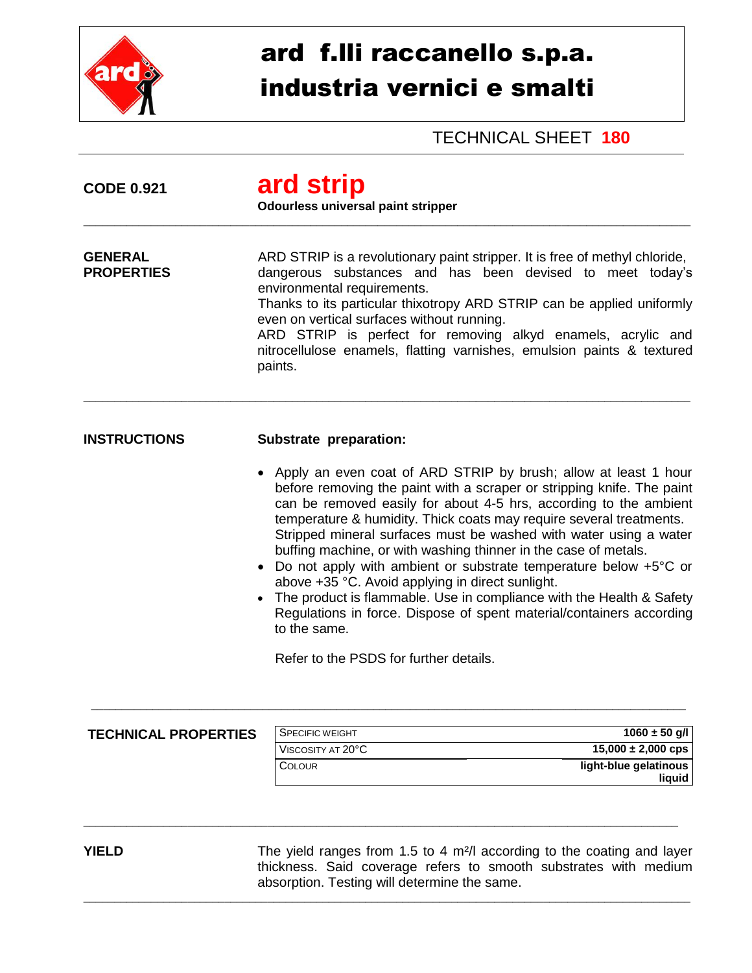

## ard f.lli raccanello s.p.a. industria vernici e smalti

TECHNICAL SHEET **180**

| <b>CODE 0.921</b>                   | ard strip<br>Odourless universal paint stripper                                                                                                                                                                                                                                                                                                                                                                                                                                                                                                                                                                                                                                                                                                                     |  |
|-------------------------------------|---------------------------------------------------------------------------------------------------------------------------------------------------------------------------------------------------------------------------------------------------------------------------------------------------------------------------------------------------------------------------------------------------------------------------------------------------------------------------------------------------------------------------------------------------------------------------------------------------------------------------------------------------------------------------------------------------------------------------------------------------------------------|--|
| <b>GENERAL</b><br><b>PROPERTIES</b> | ARD STRIP is a revolutionary paint stripper. It is free of methyl chloride,<br>dangerous substances and has been devised to meet today's<br>environmental requirements.<br>Thanks to its particular thixotropy ARD STRIP can be applied uniformly<br>even on vertical surfaces without running.<br>ARD STRIP is perfect for removing alkyd enamels, acrylic and<br>nitrocellulose enamels, flatting varnishes, emulsion paints & textured<br>paints.                                                                                                                                                                                                                                                                                                                |  |
| <b>INSTRUCTIONS</b>                 | Substrate preparation:                                                                                                                                                                                                                                                                                                                                                                                                                                                                                                                                                                                                                                                                                                                                              |  |
|                                     | • Apply an even coat of ARD STRIP by brush; allow at least 1 hour<br>before removing the paint with a scraper or stripping knife. The paint<br>can be removed easily for about 4-5 hrs, according to the ambient<br>temperature & humidity. Thick coats may require several treatments.<br>Stripped mineral surfaces must be washed with water using a water<br>buffing machine, or with washing thinner in the case of metals.<br>Do not apply with ambient or substrate temperature below +5°C or<br>above +35 °C. Avoid applying in direct sunlight.<br>• The product is flammable. Use in compliance with the Health & Safety<br>Regulations in force. Dispose of spent material/containers according<br>to the same.<br>Refer to the PSDS for further details. |  |
|                                     |                                                                                                                                                                                                                                                                                                                                                                                                                                                                                                                                                                                                                                                                                                                                                                     |  |

\_\_\_\_\_\_\_\_\_\_\_\_\_\_\_\_\_\_\_\_\_\_\_\_\_\_\_\_\_\_\_\_\_\_\_\_\_\_\_\_\_\_\_\_\_\_\_\_\_\_\_\_\_\_\_\_\_\_\_\_\_\_\_\_\_\_\_\_\_\_\_\_\_\_\_\_\_\_\_\_\_\_\_\_\_\_\_\_\_\_\_\_\_\_\_\_\_

 $\_$  ,  $\_$  ,  $\_$  ,  $\_$  ,  $\_$  ,  $\_$  ,  $\_$  ,  $\_$  ,  $\_$  ,  $\_$  ,  $\_$  ,  $\_$  ,  $\_$  ,  $\_$  ,  $\_$  ,  $\_$  ,  $\_$  ,  $\_$  ,  $\_$  ,  $\_$  ,  $\_$  ,  $\_$  ,  $\_$  ,  $\_$  ,  $\_$  ,  $\_$  ,  $\_$  ,  $\_$  ,  $\_$  ,  $\_$  ,  $\_$  ,  $\_$  ,  $\_$  ,  $\_$  ,  $\_$  ,  $\_$  ,  $\_$  ,

## **TECHNICAL PROPERTIES**

| SPECIFIC WEIGHT   | $1060 \pm 50$ q/l      |
|-------------------|------------------------|
| VISCOSITY AT 20°C | $15,000 \pm 2,000$ cps |
| <b>COLOUR</b>     | light-blue gelatinous  |
|                   | liquid                 |

**YIELD** The yield ranges from 1.5 to 4 m<sup>2</sup>/l according to the coating and layer thickness. Said coverage refers to smooth substrates with medium absorption. Testing will determine the same. \_\_\_\_\_\_\_\_\_\_\_\_\_\_\_\_\_\_\_\_\_\_\_\_\_\_\_\_\_\_\_\_\_\_\_\_\_\_\_\_\_\_\_\_\_\_\_\_\_\_\_\_\_\_\_\_\_\_\_\_\_\_\_\_\_\_\_\_\_\_\_\_\_\_\_\_\_\_\_\_\_\_\_\_\_\_\_\_\_\_\_\_\_\_\_\_\_\_\_